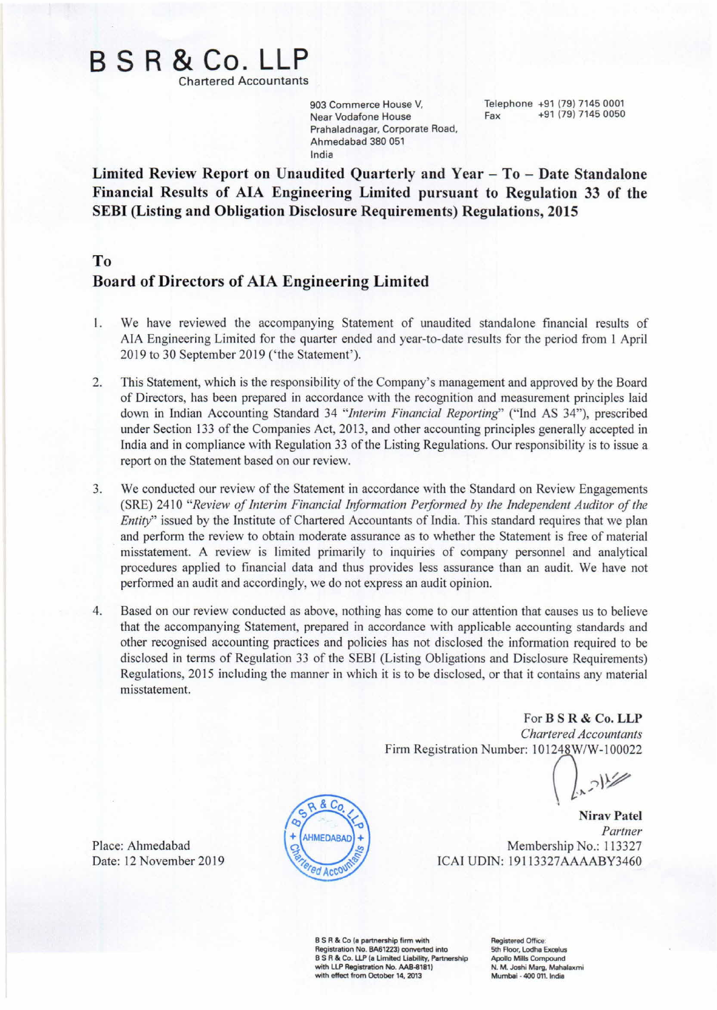# B S R **& Co. LLP**

Chartered Accountants

903 Commerce House V, Near Vodafone House Prahaladnagar, Corporate Road, Ahmedabad 380 051 India

Telephone +91 (79) 7145 0001 Fax +91 (79) 7145 0050

**Limited Review Report on Unaudited Quarterly and Year - To - Date Standalone Financial Results of AlA Engineering Limited pursuant to Regulation 33 of the SEBI (Listing and Obligation Disclosure Requirements) Regulations, 2015**

## **To Board of Directors of AlA Engineering Limited**

- I. We have reviewed the accompanying Statement of unaudited standalone financial results of AlA Engineering Limited for the quarter ended and year-to-date results for the period from I April 2019 to 30 September 2019 ('the Statement').
- 2. This Statement, which is the responsibility of the Company's management and approved by the Board of Directors, has been prepared in accordance with the recognition and measurement principles laid down in Indian Accounting Standard 34 *"Interim Financial Reporting'* ("lnd AS 34"), prescribed under Section 133 of the Companies Act, 2013, and other accounting principles generally accepted in India and in compliance with Regulation 33 of the Listing Regulations. Our responsibility is to issue a report on the Statement based on our review.
- 3. We conducted our review of the Statement in accordance with the Standard on Review Engagements (SRE) 2410 *"Review of Interim Financial Information Performed by the Independent Auditor of the Entity*" issued by the Institute of Chartered Accountants of India. This standard requires that we plan and perform the review to obtain moderate assurance as to whether the Statement is free of material misstatement. A review is limited primarily to inquiries of company personnel and analytical procedures applied to financial data and thus provides less assurance than an audit. We have not performed an audit and accordingly, we do not express an audit opinion.
- 4. Based on our review conducted as above, nothing has come to our attention that causes us to believe that the accompanying Statement, prepared in accordance with applicable accounting standards and other recognised accounting practices and policies has not disclosed the information required to be disclosed in terms of Regulation 33 of the SEBI (Listing Obligations and Disclosure Requirements) Regulations, 2015 including the manner in which it is to be disclosed, or that it contains any material misstatement.

For B S R & Co. **LLP** *Chartered Accountants* Firm Registration Number: 101248W/W-! 00022

 $|x| > |x|$ 

**Nirav Patel** *Partner* Membership No.: 113327 ICAI UDIN: 19113327AAAABY3460

B S R & Co (a partnership firm with Registration No. BA61223) converted into<br>B S R & Co. LLP (a Limited Liability, Partnersh with LLP Registration No. AAB-8181) with effect from October 14, 2013

8

AHMEDARAD

Registered Office: 5th Floor, Lodha Excelus Apollo Mills Compound N. M. Joshi Marg, Mahalaxmi Mumbai - 400 011. India

Place: Ahmedabad Date: 12 November 2019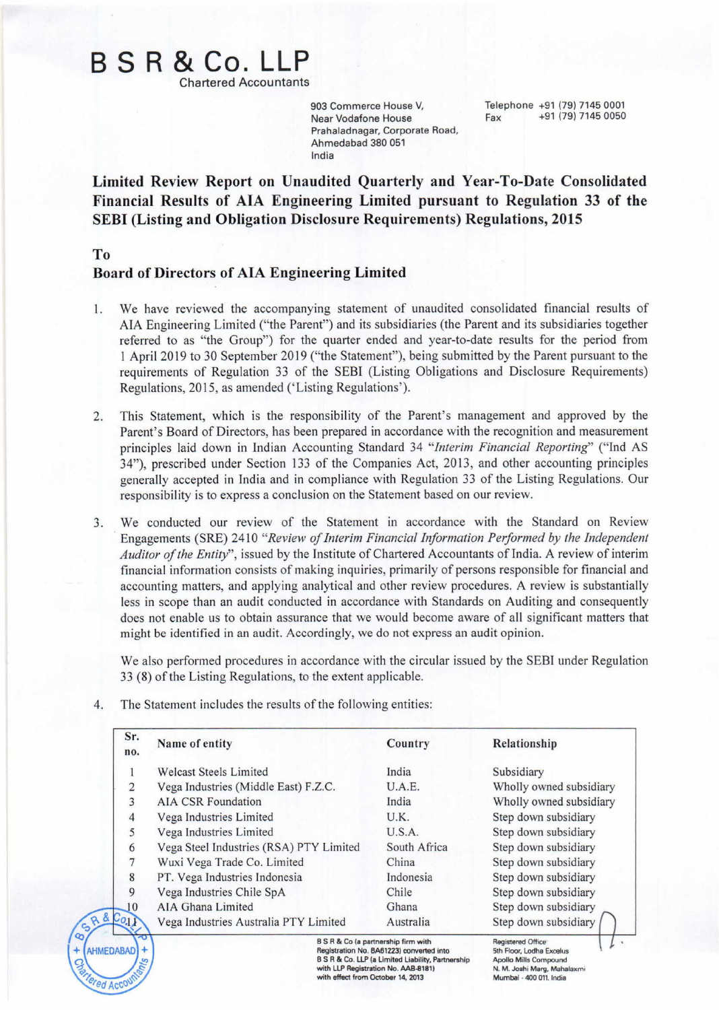Chartered Accountants

903 Commerce House V, Near Vodafone House Prahaladnagar, Corporate Road, Ahmedabad 380 051 India

Telephone +91 (79) 7145 0001 Fax +91 (79) 7145 0050

**Limited Review Report on Unaudited Quarterly and Year-To-Date Consolidated Financial Results of AlA Engineering Limited pursuant to Regulation 33 of the SEBI (Listing and Obligation Disclosure Requirements) Regulations, 2015**

#### **To**

### **Board of Directors of AlA Engineering Limited**

- 1. We have reviewed the accompanying statement of unaudited consolidated financial results of AlA Engineering Limited ("the Parent") and its subsidiaries (the Parent and its subsidiaries together referred to as "the Group") for the quarter ended and year-to-date results for the period from 1 April 2019 to 30 September 2019 ("the Statement"), being submitted by the Parent pursuant to the requirements of Regulation 33 of the SEBI (Listing Obligations and Disclosure Requirements) Regulations, 2015, as amended ('Listing Regulations').
- 2. This Statement, which is the responsibility of the Parent's management and approved by the Parent's Board of Directors, has been prepared in accordance with the recognition and measurement principles laid down in Indian Accounting Standard 34 *"Interim Financial Reporting"* ("Ind AS 34"), prescribed under Section 133 of the Companies Act, 2013, and other accounting principles generally accepted in India and in compliance with Regulation 33 of the Listing Regulations. Our responsibility is to express a conclusion on the Statement based on our review.
- 3. We conducted our review of the Statement in accordance with the Standard on Review . Engagements (SRE) 2410 *"Review of Interim Financial Injormation Performed by the Independent Auditor of the Entity",* issued by the Institute of Chartered Accountants of India. A review of interim financial information consists of making inquiries, primarily of persons responsible for financial and accounting matters, and applying analytical and other review procedures. A review is substantially less in scope than an audit conducted in accordance with Standards on Auditing and consequently does not enable us to obtain assurance that we would become aware of all significant matters that might be identified in an audit. Accordingly, we do not express an audit opinion.

We also performed procedures in accordance with the circular issued by the SEBI under Regulation 33 (8) of the Listing Regulations, to the extent applicable.

4. The Statement includes the results of the following entities:

| Sr.<br>no.     | Name of entity                          | Country      | Relationship              |
|----------------|-----------------------------------------|--------------|---------------------------|
|                | <b>Welcast Steels Limited</b>           | India        | Subsidiary                |
| $\overline{2}$ | Vega Industries (Middle East) F.Z.C.    | U.A.E.       | Wholly owned subsidiary   |
| 3              | <b>AIA CSR Foundation</b>               | India        | Wholly owned subsidiary   |
| $\overline{4}$ | Vega Industries Limited                 | U.K.         | Step down subsidiary      |
| 5              | Vega Industries Limited                 | U.S.A.       | Step down subsidiary      |
| 6              | Vega Steel Industries (RSA) PTY Limited | South Africa | Step down subsidiary      |
| $\overline{7}$ | Wuxi Vega Trade Co. Limited             | China        | Step down subsidiary      |
| 8              | PT. Vega Industries Indonesia           | Indonesia    | Step down subsidiary      |
| 9              | Vega Industries Chile SpA               | Chile        | Step down subsidiary      |
| 10             | AIA Ghana Limited                       | Ghana        | Step down subsidiary      |
| $C_{0,1}$      | Vega Industries Australia PTY Limited   | Australia    | Step down subsidiary      |
| ᠊ᡃ             | B S R & Co (a partnership firm with     |              | <b>Registered Office:</b> |

**AHMEDABAD** 

Registration No. BA61223) converted into B S R & Co. LLP (a Limited Liability, Partnersh<br>with LLP Registration No. AAB-8181) with effect from October 14, 2013

Registered Office' 5th Floor, Lodha Excelus Apollo Mills Compound N. M. Joshi Marg. Mahalaxmi Mumbai . 400 011. India